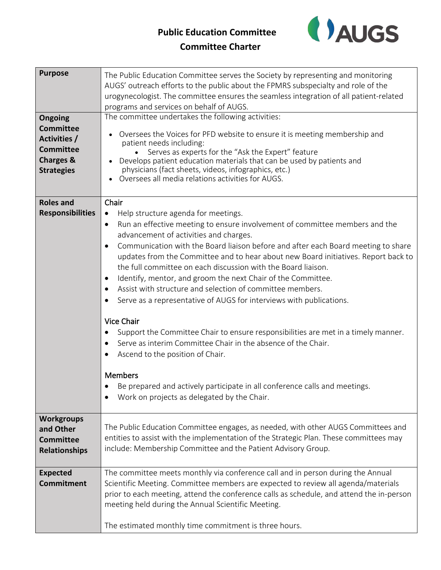## **Public Education Committee**



## **Committee Charter**

| <b>Purpose</b><br>Ongoing<br><b>Committee</b><br><b>Activities /</b><br><b>Committee</b><br><b>Charges &amp;</b><br><b>Strategies</b> | The Public Education Committee serves the Society by representing and monitoring<br>AUGS' outreach efforts to the public about the FPMRS subspecialty and role of the<br>urogynecologist. The committee ensures the seamless integration of all patient-related<br>programs and services on behalf of AUGS.<br>The committee undertakes the following activities:<br>Oversees the Voices for PFD website to ensure it is meeting membership and<br>patient needs including:<br>Serves as experts for the "Ask the Expert" feature<br>Develops patient education materials that can be used by patients and<br>physicians (fact sheets, videos, infographics, etc.)<br>• Oversees all media relations activities for AUGS.                                                                                                                                                                                                                                                                                                                             |
|---------------------------------------------------------------------------------------------------------------------------------------|-------------------------------------------------------------------------------------------------------------------------------------------------------------------------------------------------------------------------------------------------------------------------------------------------------------------------------------------------------------------------------------------------------------------------------------------------------------------------------------------------------------------------------------------------------------------------------------------------------------------------------------------------------------------------------------------------------------------------------------------------------------------------------------------------------------------------------------------------------------------------------------------------------------------------------------------------------------------------------------------------------------------------------------------------------|
| <b>Roles and</b><br><b>Responsibilities</b>                                                                                           | Chair<br>Help structure agenda for meetings.<br>$\bullet$<br>Run an effective meeting to ensure involvement of committee members and the<br>$\bullet$<br>advancement of activities and charges.<br>Communication with the Board liaison before and after each Board meeting to share<br>$\bullet$<br>updates from the Committee and to hear about new Board initiatives. Report back to<br>the full committee on each discussion with the Board liaison.<br>Identify, mentor, and groom the next Chair of the Committee.<br>$\bullet$<br>Assist with structure and selection of committee members.<br>Serve as a representative of AUGS for interviews with publications.<br><b>Vice Chair</b><br>Support the Committee Chair to ensure responsibilities are met in a timely manner.<br>Serve as interim Committee Chair in the absence of the Chair.<br>$\bullet$<br>Ascend to the position of Chair.<br><b>Members</b><br>Be prepared and actively participate in all conference calls and meetings.<br>Work on projects as delegated by the Chair. |
| <b>Workgroups</b><br>and Other<br><b>Committee</b><br><b>Relationships</b>                                                            | The Public Education Committee engages, as needed, with other AUGS Committees and<br>entities to assist with the implementation of the Strategic Plan. These committees may<br>include: Membership Committee and the Patient Advisory Group.                                                                                                                                                                                                                                                                                                                                                                                                                                                                                                                                                                                                                                                                                                                                                                                                          |
| <b>Expected</b><br><b>Commitment</b>                                                                                                  | The committee meets monthly via conference call and in person during the Annual<br>Scientific Meeting. Committee members are expected to review all agenda/materials<br>prior to each meeting, attend the conference calls as schedule, and attend the in-person<br>meeting held during the Annual Scientific Meeting.<br>The estimated monthly time commitment is three hours.                                                                                                                                                                                                                                                                                                                                                                                                                                                                                                                                                                                                                                                                       |